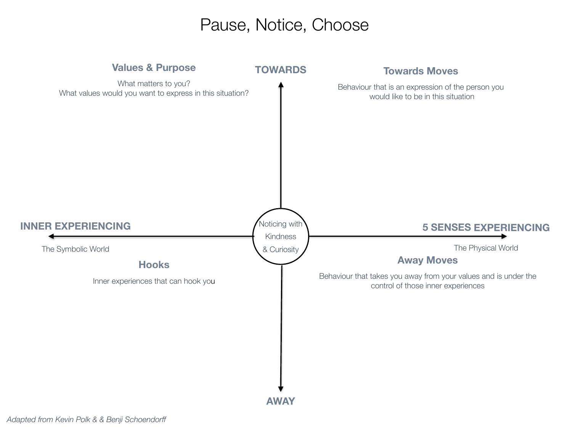## Pause, Notice, Choose